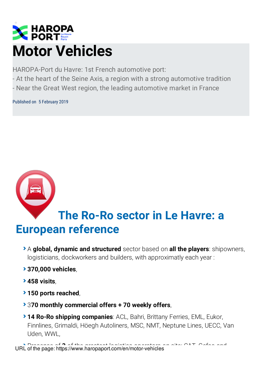

HAROPA-Port du Havre: 1st French automotive port:

- At the heart of the Seine Axis, a region with a strong automotive tradition
- Near the Great West region, the leading automotive market in France

Published on 5 February 2019



# **The Ro-Ro sector in Le Havre: a European reference**

- A **global, dynamic and structured** sector based on **all the players**: shipowners, logisticians, dockworkers and builders, with approximatly each year:
- **370,000 vehicles**,
- **458 visits**,
- **150 ports reached**,
- 3**70 monthly commercial offers + 70 weekly offers**,
- **14 Ro-Ro shipping companies**: ACL, Bahri, Brittany Ferries, EML, Eukor, Finnlines, Grimaldi, Höegh Autoliners, MSC, NMT, Neptune Lines, UECC, Van Uden, WWL,

Presence of **3** of the greatest logistics operators on site: CAT, Gefco and URL of the page: https://www.haropaport.com/en/motor-vehicles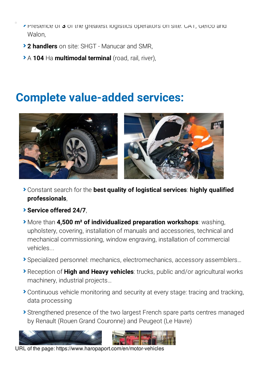- **Presence of 3** of the greatest logistics operators on site: CAT, Gefco and Walon.
- **2 handlers** on site: SHGT Manucar and SMR,
- A **104** Ha **multimodal terminal** (road, rail, river),

### **Complete value-added services:**



- Constant search for the **best quality of logistical services**: **highly qualified professionals**,
- **Service offered 24/7**,
- More than **4,500 m² of individualized preparation workshops**: washing, upholstery, covering, installation of manuals and accessories, technical and mechanical commissioning, window engraving, installation of commercial vehicles...
- Specialized personnel: mechanics, electromechanics, accessory assemblers…
- Reception of **High and Heavy vehicles**: trucks, public and/or agricultural works machinery, industrial projects…
- Continuous vehicle monitoring and security at every stage: tracing and tracking, data processing
- Strengthened presence of the two largest French spare parts centres managed by Renault (Rouen Grand Couronne) and Peugeot (Le Havre)





URL of the page: https://www.haropaport.com/en/motor-vehicles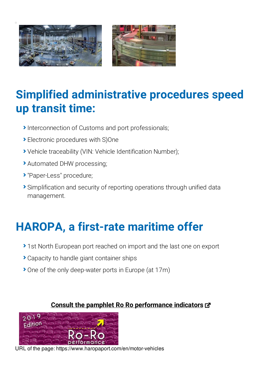



## **Simplified administrative procedures speed up transit time:**

- Interconnection of Customs and port professionals;
- Electronic procedures with S)One
- Vehicle traceability (VIN: Vehicle Identification Number);
- Automated DHW processing;
- "Paper-Less" procedure;
- Simplification and security of reporting operations through unified data management.

# **HAROPA, a first-rate maritime offer**

- ▶ 1st North European port reached on import and the last one on export
- Capacity to handle giant container ships
- ▶ One of the only deep-water ports in Europe (at 17m)

#### **Consult the pamphlet Ro Ro [performance](https://www.haropaports.com/en/node/2955) indicators**



URL of the page: https://www.haropaport.com/en/motor-vehicles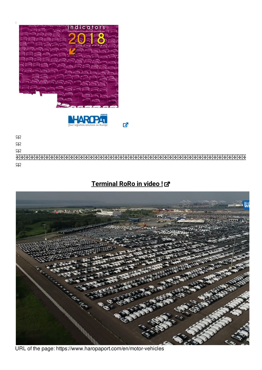



 $\mathbf{Z}$ 

#### **[Terminal](https://player.vimeo.com/video/280354463?embedparameter=value%2522%20width=%2522640%2522%20height=%2522360%2522%20frameborder=%25220%2522%20allowfullscreen) RoRo in video !**



URL of the page: https://www.haropaport.com/en/motor-vehicles